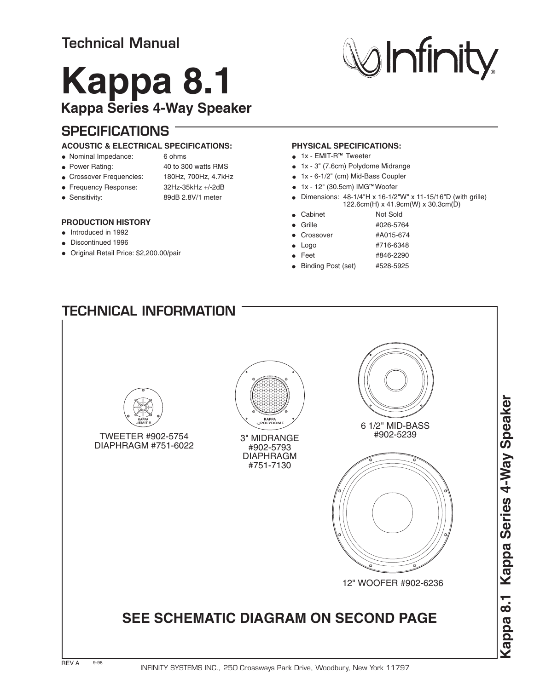# **Kappa 8.1 Kappa Series 4-Way Speaker**

## **SPECIFICATIONS**

#### **ACOUSTIC & ELECTRICAL SPECIFICATIONS:**

- Nominal Impedance: 6 ohms
- 
- Power Rating: 40 to 300 watts RMS
- Crossover Frequencies: 180Hz, 700Hz, 4.7kHz
- Frequency Response: 32Hz-35kHz +/-2dB
- 
- 
- Sensitivity: 89dB 2.8V/1 meter

### **PRODUCTION HISTORY**

- Introduced in 1992
- Discontinued 1996
- Original Retail Price: \$2,200.00/pair

#### **PHYSICAL SPECIFICATIONS:**

- $\bullet$  1x EMIT-R<sup> $M$ </sup> Tweeter
- 1x 3" (7.6cm) Polydome Midrange
- 1x 6-1/2" (cm) Mid-Bass Coupler
- $\bullet$  1x 12" (30.5cm) IMG<sup>TM</sup> Woofer
- Dimensions: 48-1/4"H x 16-1/2"W" x 11-15/16"D (with grille)  $\bullet$ 122.6cm(H) x 41.9cm(W) x 30.3cm(D)

**Minity** 

- Cabinet Not Sold  $\bullet$
- Grille **#026-5764**
- Crossover #A015-674
	- Logo #716-6348
	- Feet #846-2290
- Binding Post (set) #528-5925

# TWEETER #902-5754 DIAPHRAGM #751-6022 6 1/2" MID-BASS 3" MIDRANGE #902-5793 DIAPHRAGM #751-7130 12" WOOFER #902-6236 **TECHNICAL INFORMATION**  $\begin{smallmatrix} \times & \times & \times & \times & \times \end{smallmatrix}$ **raaaaaaa** aaaaaaaaaaaaaaa aaaaaaaaaaaaaaa aaaaaaaaaaaaaaa aaaaaaaaaaaaaaa aaaaaaaaaaaaaaa aaaaaaaaaaaaaaa  $^{\circ}$ aaaa $^{\circ}$ **EMIT-R POLYDOME SEE SCHEMATIC DIAGRAM ON SECOND PAGE KAPPA KAPPA**

**Kappa 8.1 Kappa Series 4-Way Speaker** Kappa Series 4-Way Speaker Kappa 8.1